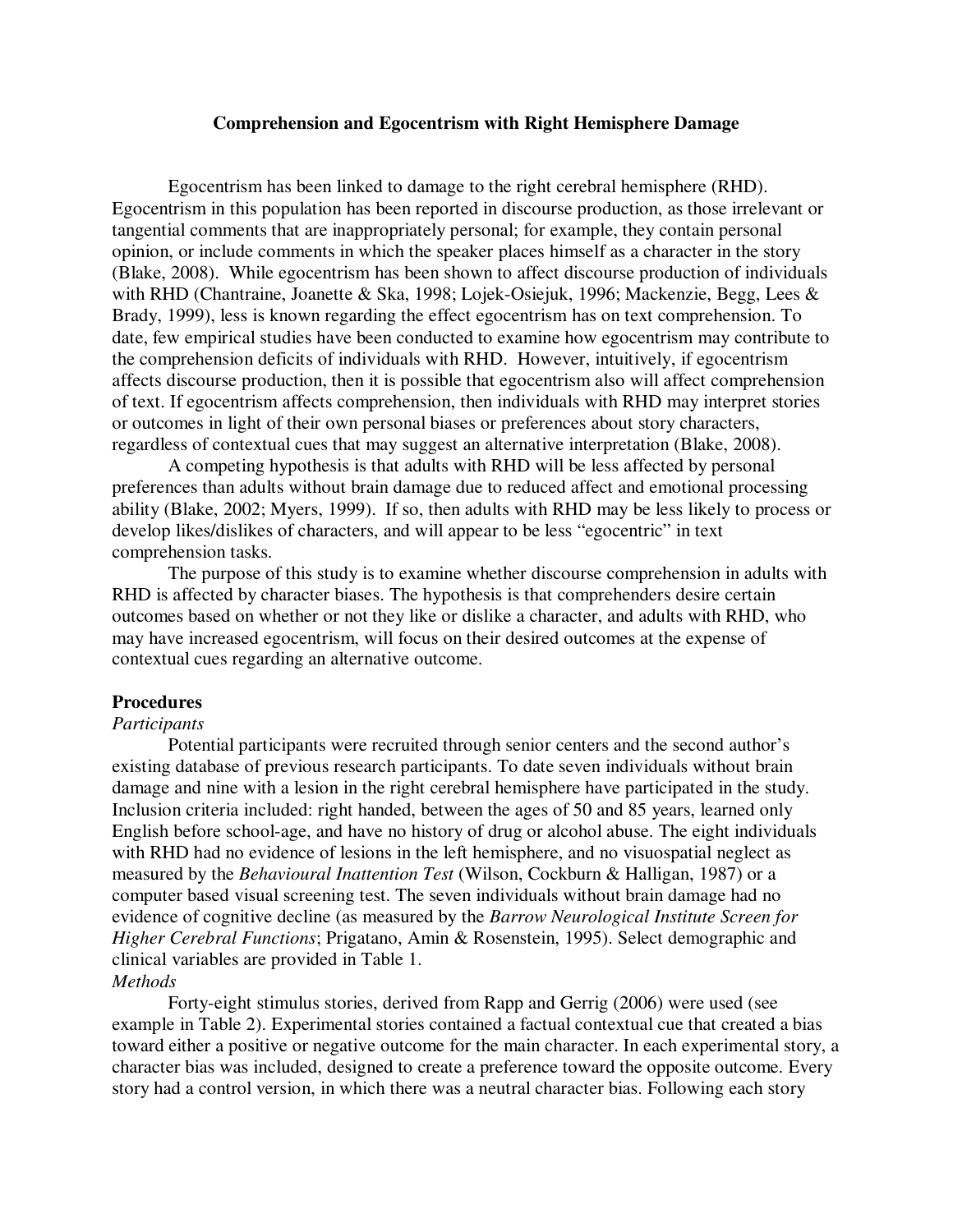## **Comprehension and Egocentrism with Right Hemisphere Damage**

Egocentrism has been linked to damage to the right cerebral hemisphere (RHD). Egocentrism in this population has been reported in discourse production, as those irrelevant or tangential comments that are inappropriately personal; for example, they contain personal opinion, or include comments in which the speaker places himself as a character in the story (Blake, 2008). While egocentrism has been shown to affect discourse production of individuals with RHD (Chantraine, Joanette & Ska, 1998; Lojek-Osiejuk, 1996; Mackenzie, Begg, Lees & Brady, 1999), less is known regarding the effect egocentrism has on text comprehension. To date, few empirical studies have been conducted to examine how egocentrism may contribute to the comprehension deficits of individuals with RHD. However, intuitively, if egocentrism affects discourse production, then it is possible that egocentrism also will affect comprehension of text. If egocentrism affects comprehension, then individuals with RHD may interpret stories or outcomes in light of their own personal biases or preferences about story characters, regardless of contextual cues that may suggest an alternative interpretation (Blake, 2008).

A competing hypothesis is that adults with RHD will be less affected by personal preferences than adults without brain damage due to reduced affect and emotional processing ability (Blake, 2002; Myers, 1999). If so, then adults with RHD may be less likely to process or develop likes/dislikes of characters, and will appear to be less "egocentric" in text comprehension tasks.

 The purpose of this study is to examine whether discourse comprehension in adults with RHD is affected by character biases. The hypothesis is that comprehenders desire certain outcomes based on whether or not they like or dislike a character, and adults with RHD, who may have increased egocentrism, will focus on their desired outcomes at the expense of contextual cues regarding an alternative outcome.

# **Procedures**

#### *Participants*

 Potential participants were recruited through senior centers and the second author's existing database of previous research participants. To date seven individuals without brain damage and nine with a lesion in the right cerebral hemisphere have participated in the study. Inclusion criteria included: right handed, between the ages of 50 and 85 years, learned only English before school-age, and have no history of drug or alcohol abuse. The eight individuals with RHD had no evidence of lesions in the left hemisphere, and no visuospatial neglect as measured by the *Behavioural Inattention Test* (Wilson, Cockburn & Halligan, 1987) or a computer based visual screening test. The seven individuals without brain damage had no evidence of cognitive decline (as measured by the *Barrow Neurological Institute Screen for Higher Cerebral Functions*; Prigatano, Amin & Rosenstein, 1995). Select demographic and clinical variables are provided in Table 1. *Methods* 

 Forty-eight stimulus stories, derived from Rapp and Gerrig (2006) were used (see example in Table 2). Experimental stories contained a factual contextual cue that created a bias toward either a positive or negative outcome for the main character. In each experimental story, a character bias was included, designed to create a preference toward the opposite outcome. Every story had a control version, in which there was a neutral character bias. Following each story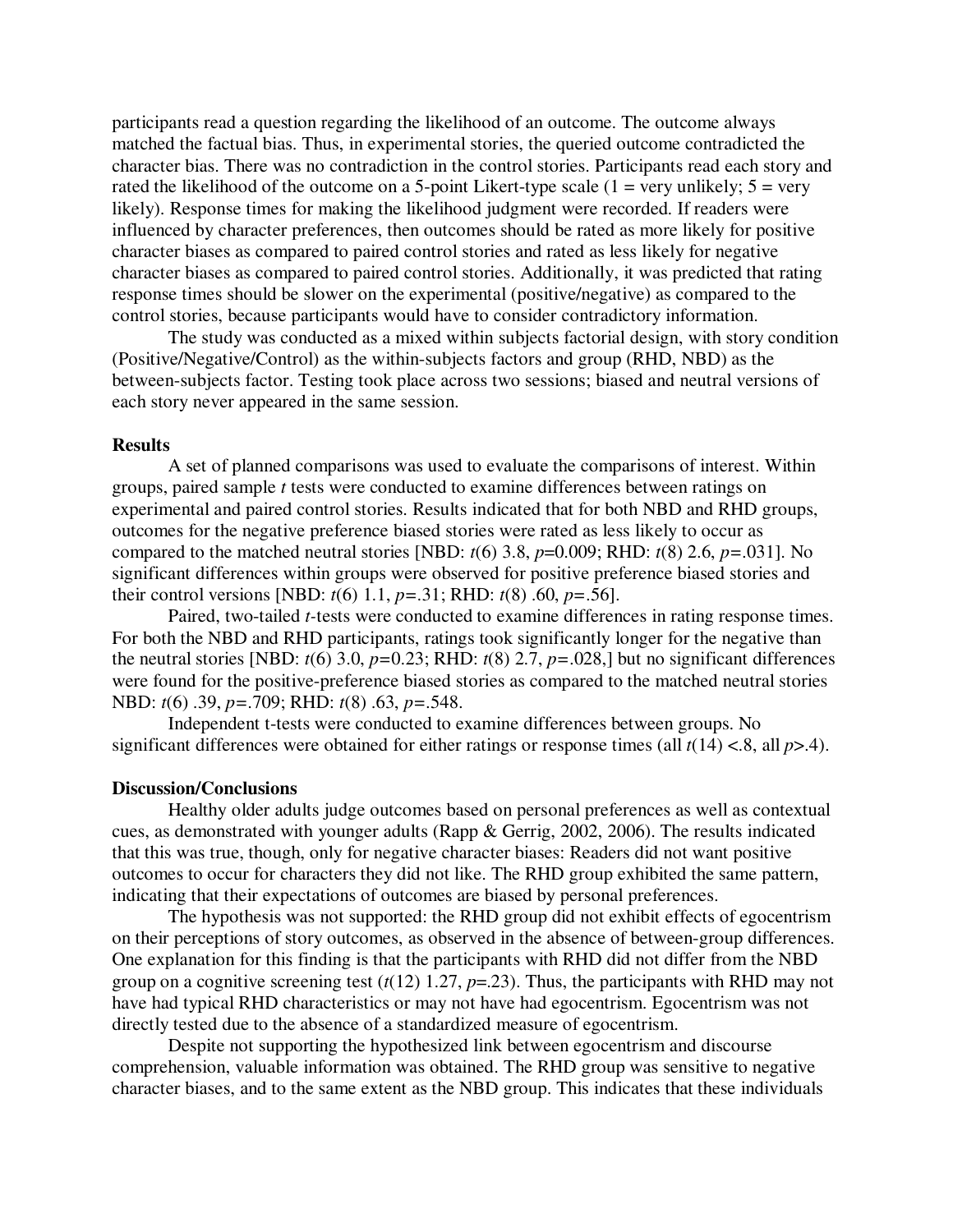participants read a question regarding the likelihood of an outcome. The outcome always matched the factual bias. Thus, in experimental stories, the queried outcome contradicted the character bias. There was no contradiction in the control stories. Participants read each story and rated the likelihood of the outcome on a 5-point Likert-type scale  $(1 = \text{very unlikely}; 5 = \text{very}$ likely). Response times for making the likelihood judgment were recorded. If readers were influenced by character preferences, then outcomes should be rated as more likely for positive character biases as compared to paired control stories and rated as less likely for negative character biases as compared to paired control stories. Additionally, it was predicted that rating response times should be slower on the experimental (positive/negative) as compared to the control stories, because participants would have to consider contradictory information.

 The study was conducted as a mixed within subjects factorial design, with story condition (Positive/Negative/Control) as the within-subjects factors and group (RHD, NBD) as the between-subjects factor. Testing took place across two sessions; biased and neutral versions of each story never appeared in the same session.

# **Results**

A set of planned comparisons was used to evaluate the comparisons of interest. Within groups, paired sample *t* tests were conducted to examine differences between ratings on experimental and paired control stories. Results indicated that for both NBD and RHD groups, outcomes for the negative preference biased stories were rated as less likely to occur as compared to the matched neutral stories [NBD:  $t(6)$  3.8,  $p=0.009$ ; RHD:  $t(8)$  2.6,  $p=.031$ ]. No significant differences within groups were observed for positive preference biased stories and their control versions [NBD: *t*(6) 1.1, *p=*.31; RHD: *t*(8) .60, *p=*.56].

Paired, two-tailed *t-*tests were conducted to examine differences in rating response times. For both the NBD and RHD participants, ratings took significantly longer for the negative than the neutral stories [NBD:  $t(6)$  3.0,  $p=0.23$ ; RHD:  $t(8)$  2.7,  $p=.028$ ,] but no significant differences were found for the positive-preference biased stories as compared to the matched neutral stories NBD: *t*(6) .39, *p=*.709; RHD: *t*(8) .63, *p=*.548.

 Independent t-tests were conducted to examine differences between groups. No significant differences were obtained for either ratings or response times (all *t*(14) <.8, all *p*>.4).

## **Discussion/Conclusions**

 Healthy older adults judge outcomes based on personal preferences as well as contextual cues, as demonstrated with younger adults (Rapp & Gerrig, 2002, 2006). The results indicated that this was true, though, only for negative character biases: Readers did not want positive outcomes to occur for characters they did not like. The RHD group exhibited the same pattern, indicating that their expectations of outcomes are biased by personal preferences.

 The hypothesis was not supported: the RHD group did not exhibit effects of egocentrism on their perceptions of story outcomes, as observed in the absence of between-group differences. One explanation for this finding is that the participants with RHD did not differ from the NBD group on a cognitive screening test  $(t(12)$  1.27,  $p=23$ ). Thus, the participants with RHD may not have had typical RHD characteristics or may not have had egocentrism. Egocentrism was not directly tested due to the absence of a standardized measure of egocentrism.

 Despite not supporting the hypothesized link between egocentrism and discourse comprehension, valuable information was obtained. The RHD group was sensitive to negative character biases, and to the same extent as the NBD group. This indicates that these individuals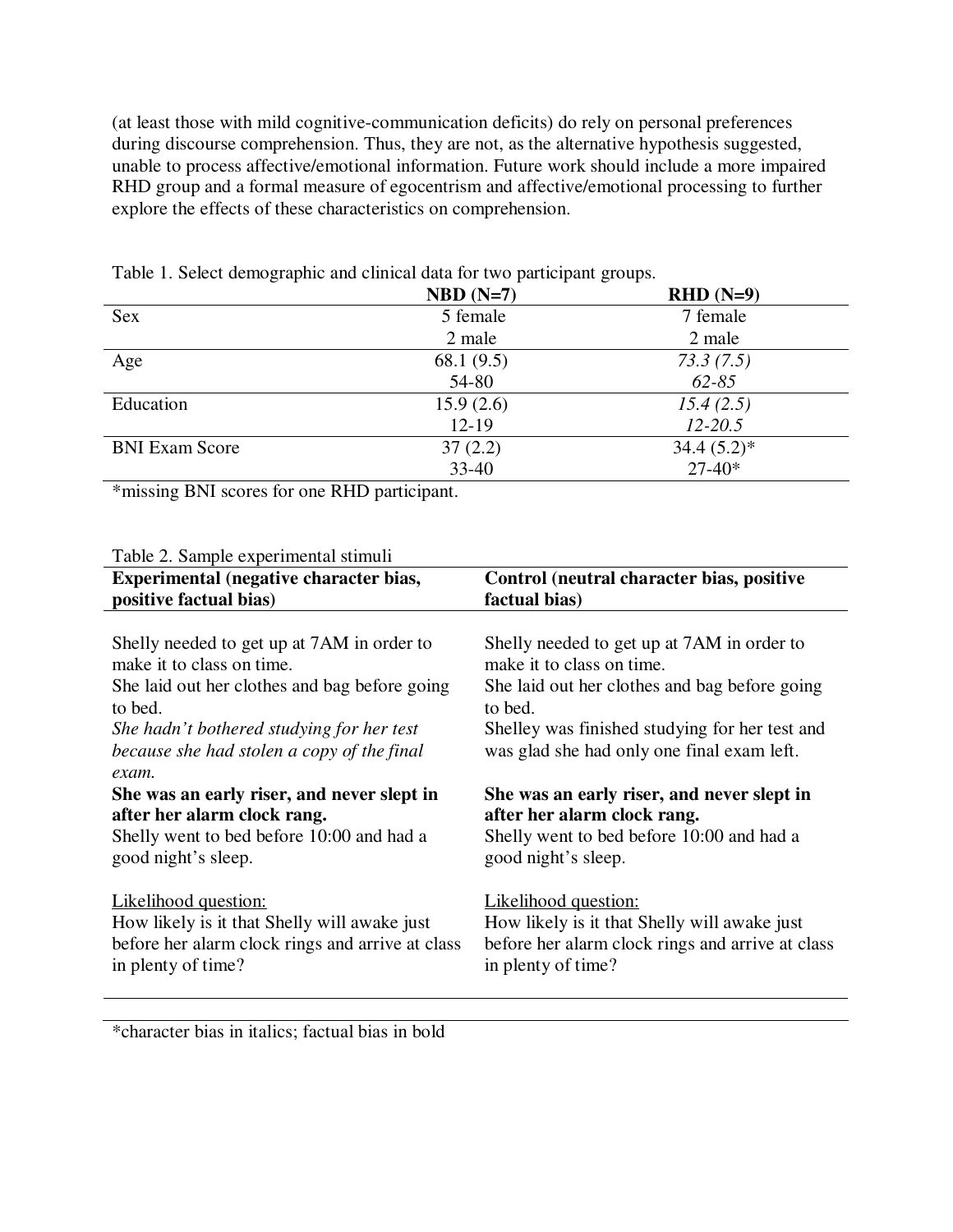(at least those with mild cognitive-communication deficits) do rely on personal preferences during discourse comprehension. Thus, they are not, as the alternative hypothesis suggested, unable to process affective/emotional information. Future work should include a more impaired RHD group and a formal measure of egocentrism and affective/emotional processing to further explore the effects of these characteristics on comprehension.

|                       | $NBD (N=7)$  | $RHD(N=9)$   |
|-----------------------|--------------|--------------|
| <b>Sex</b>            | 5 female     | 7 female     |
|                       | 2 male       | 2 male       |
| Age                   | 68.1 $(9.5)$ | 73.3(7.5)    |
|                       | 54-80        | $62 - 85$    |
| Education             | 15.9(2.6)    | 15.4(2.5)    |
|                       | $12 - 19$    | $12 - 20.5$  |
| <b>BNI Exam Score</b> | 37(2.2)      | $34.4(5.2)*$ |
|                       | $33 - 40$    | $27 - 40*$   |

Table 1. Select demographic and clinical data for two participant groups.

\*missing BNI scores for one RHD participant.

# Table 2. Sample experimental stimuli

| Experimental (negative character bias,                                                                                                                                                                                                     | Control (neutral character bias, positive                                                                                                                                                                                           |
|--------------------------------------------------------------------------------------------------------------------------------------------------------------------------------------------------------------------------------------------|-------------------------------------------------------------------------------------------------------------------------------------------------------------------------------------------------------------------------------------|
| positive factual bias)                                                                                                                                                                                                                     | factual bias)                                                                                                                                                                                                                       |
| Shelly needed to get up at 7AM in order to<br>make it to class on time.<br>She laid out her clothes and bag before going<br>to bed.<br>She hadn't bothered studying for her test<br>because she had stolen a copy of the final<br>$exam$ . | Shelly needed to get up at 7AM in order to<br>make it to class on time.<br>She laid out her clothes and bag before going<br>to bed.<br>Shelley was finished studying for her test and<br>was glad she had only one final exam left. |
| She was an early riser, and never slept in                                                                                                                                                                                                 | She was an early riser, and never slept in                                                                                                                                                                                          |
| after her alarm clock rang.                                                                                                                                                                                                                | after her alarm clock rang.                                                                                                                                                                                                         |
| Shelly went to bed before 10:00 and had a                                                                                                                                                                                                  | Shelly went to bed before 10:00 and had a                                                                                                                                                                                           |
| good night's sleep.                                                                                                                                                                                                                        | good night's sleep.                                                                                                                                                                                                                 |
| <b>Likelihood</b> question:                                                                                                                                                                                                                | <b>Likelihood question:</b>                                                                                                                                                                                                         |
| How likely is it that Shelly will awake just                                                                                                                                                                                               | How likely is it that Shelly will awake just                                                                                                                                                                                        |
| before her alarm clock rings and arrive at class                                                                                                                                                                                           | before her alarm clock rings and arrive at class                                                                                                                                                                                    |
| in plenty of time?                                                                                                                                                                                                                         | in plenty of time?                                                                                                                                                                                                                  |

\*character bias in italics; factual bias in bold